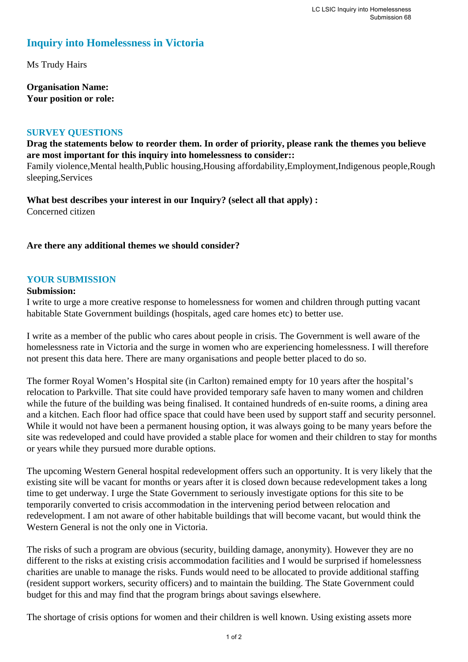# **Inquiry into Homelessness in Victoria**

Ms Trudy Hairs

**Organisation Name: Your position or role:** 

### **SURVEY QUESTIONS**

**Drag the statements below to reorder them. In order of priority, please rank the themes you believe are most important for this inquiry into homelessness to consider::** 

Family violence,Mental health,Public housing,Housing affordability,Employment,Indigenous people,Rough sleeping,Services

**What best describes your interest in our Inquiry? (select all that apply) :**  Concerned citizen

**Are there any additional themes we should consider?**

#### **YOUR SUBMISSION**

#### **Submission:**

I write to urge a more creative response to homelessness for women and children through putting vacant habitable State Government buildings (hospitals, aged care homes etc) to better use.

I write as a member of the public who cares about people in crisis. The Government is well aware of the homelessness rate in Victoria and the surge in women who are experiencing homelessness. I will therefore not present this data here. There are many organisations and people better placed to do so.

The former Royal Women's Hospital site (in Carlton) remained empty for 10 years after the hospital's relocation to Parkville. That site could have provided temporary safe haven to many women and children while the future of the building was being finalised. It contained hundreds of en-suite rooms, a dining area and a kitchen. Each floor had office space that could have been used by support staff and security personnel. While it would not have been a permanent housing option, it was always going to be many years before the site was redeveloped and could have provided a stable place for women and their children to stay for months or years while they pursued more durable options.

The upcoming Western General hospital redevelopment offers such an opportunity. It is very likely that the existing site will be vacant for months or years after it is closed down because redevelopment takes a long time to get underway. I urge the State Government to seriously investigate options for this site to be temporarily converted to crisis accommodation in the intervening period between relocation and redevelopment. I am not aware of other habitable buildings that will become vacant, but would think the Western General is not the only one in Victoria.

The risks of such a program are obvious (security, building damage, anonymity). However they are no different to the risks at existing crisis accommodation facilities and I would be surprised if homelessness charities are unable to manage the risks. Funds would need to be allocated to provide additional staffing (resident support workers, security officers) and to maintain the building. The State Government could budget for this and may find that the program brings about savings elsewhere.

The shortage of crisis options for women and their children is well known. Using existing assets more